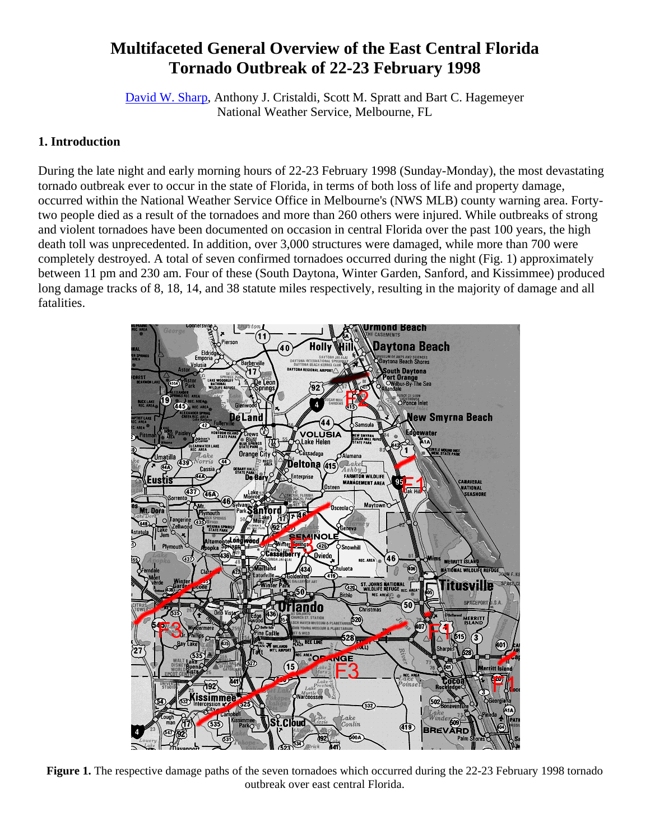# **Multifaceted General Overview of the East Central Florida Tornado Outbreak of 22-23 February 1998**

David W. Sharp, Anthony J. Cristaldi, Scott M. Spratt and Bart C. Hagemeyer National Weather Service, Melbourne, FL

# **1. Introduction**

During the late night and early morning hours of 22-23 February 1998 (Sunday-Monday), the most devastating tornado outbreak ever to occur in the state of Florida, in terms of both loss of life and property damage, occurred within the National Weather Service Office in Melbourne's (NWS MLB) county warning area. Fortytwo people died as a result of the tornadoes and more than 260 others were injured. While outbreaks of strong and violent tornadoes have been documented on occasion in central Florida over the past 100 years, the high death toll was unprecedented. In addition, over 3,000 structures were damaged, while more than 700 were completely destroyed. A total of seven confirmed tornadoes occurred during the night (Fig. 1) approximately between 11 pm and 230 am. Four of these (South Daytona, Winter Garden, Sanford, and Kissimmee) produced long damage tracks of 8, 18, 14, and 38 statute miles respectively, resulting in the majority of damage and all fatalities.



**Figure 1.** The respective damage paths of the seven tornadoes which occurred during the 22-23 February 1998 tornado outbreak over east central Florida.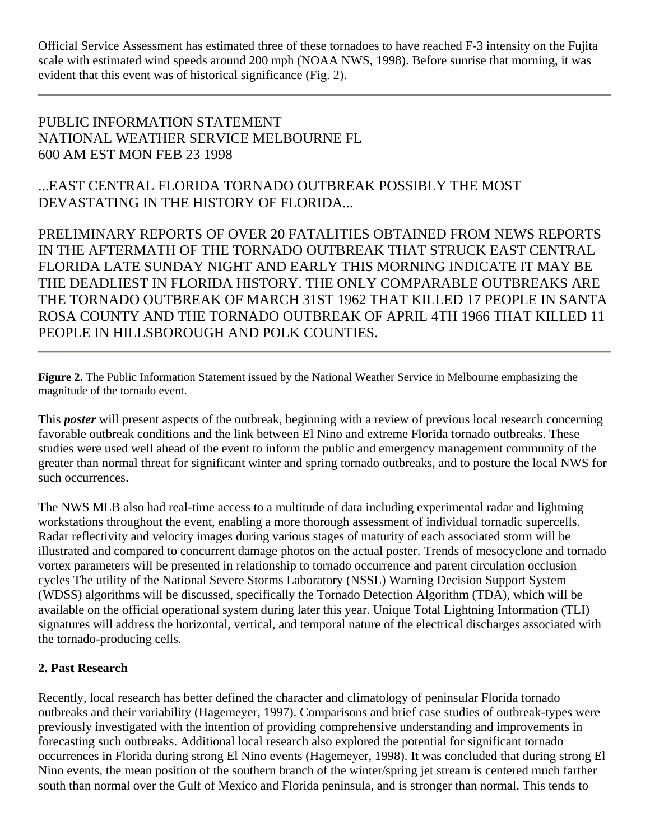Official Service Assessment has estimated three of these tornadoes to have reached F-3 intensity on the Fujita scale with estimated wind speeds around 200 mph (NOAA NWS, 1998). Before sunrise that morning, it was evident that this event was of historical significance (Fig. 2).

PUBLIC INFORMATION STATEMENT NATIONAL WEATHER SERVICE MELBOURNE FL 600 AM EST MON FEB 23 1998

...EAST CENTRAL FLORIDA TORNADO OUTBREAK POSSIBLY THE MOST DEVASTATING IN THE HISTORY OF FLORIDA...

PRELIMINARY REPORTS OF OVER 20 FATALITIES OBTAINED FROM NEWS REPORTS IN THE AFTERMATH OF THE TORNADO OUTBREAK THAT STRUCK EAST CENTRAL FLORIDA LATE SUNDAY NIGHT AND EARLY THIS MORNING INDICATE IT MAY BE THE DEADLIEST IN FLORIDA HISTORY. THE ONLY COMPARABLE OUTBREAKS ARE THE TORNADO OUTBREAK OF MARCH 31ST 1962 THAT KILLED 17 PEOPLE IN SANTA ROSA COUNTY AND THE TORNADO OUTBREAK OF APRIL 4TH 1966 THAT KILLED 11 PEOPLE IN HILLSBOROUGH AND POLK COUNTIES.

**Figure 2.** The Public Information Statement issued by the National Weather Service in Melbourne emphasizing the magnitude of the tornado event.

This *poster* will present aspects of the outbreak, beginning with a review of previous local research concerning favorable outbreak conditions and the link between El Nino and extreme Florida tornado outbreaks. These studies were used well ahead of the event to inform the public and emergency management community of the greater than normal threat for significant winter and spring tornado outbreaks, and to posture the local NWS for such occurrences.

The NWS MLB also had real-time access to a multitude of data including experimental radar and lightning workstations throughout the event, enabling a more thorough assessment of individual tornadic supercells. Radar reflectivity and velocity images during various stages of maturity of each associated storm will be illustrated and compared to concurrent damage photos on the actual poster. Trends of mesocyclone and tornado vortex parameters will be presented in relationship to tornado occurrence and parent circulation occlusion cycles The utility of the National Severe Storms Laboratory (NSSL) Warning Decision Support System (WDSS) algorithms will be discussed, specifically the Tornado Detection Algorithm (TDA), which will be available on the official operational system during later this year. Unique Total Lightning Information (TLI) signatures will address the horizontal, vertical, and temporal nature of the electrical discharges associated with the tornado-producing cells.

### **2. Past Research**

Recently, local research has better defined the character and climatology of peninsular Florida tornado outbreaks and their variability (Hagemeyer, 1997). Comparisons and brief case studies of outbreak-types were previously investigated with the intention of providing comprehensive understanding and improvements in forecasting such outbreaks. Additional local research also explored the potential for significant tornado occurrences in Florida during strong El Nino events (Hagemeyer, 1998). It was concluded that during strong El Nino events, the mean position of the southern branch of the winter/spring jet stream is centered much farther south than normal over the Gulf of Mexico and Florida peninsula, and is stronger than normal. This tends to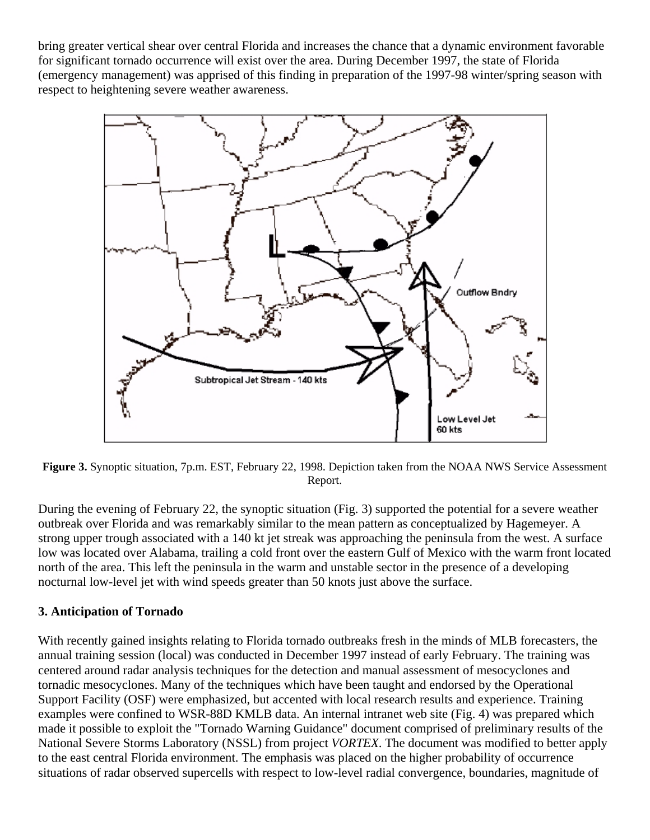bring greater vertical shear over central Florida and increases the chance that a dynamic environment favorable for significant tornado occurrence will exist over the area. During December 1997, the state of Florida (emergency management) was apprised of this finding in preparation of the 1997-98 winter/spring season with respect to heightening severe weather awareness.



**Figure 3.** Synoptic situation, 7p.m. EST, February 22, 1998. Depiction taken from the NOAA NWS Service Assessment Report.

During the evening of February 22, the synoptic situation (Fig. 3) supported the potential for a severe weather outbreak over Florida and was remarkably similar to the mean pattern as conceptualized by Hagemeyer. A strong upper trough associated with a 140 kt jet streak was approaching the peninsula from the west. A surface low was located over Alabama, trailing a cold front over the eastern Gulf of Mexico with the warm front located north of the area. This left the peninsula in the warm and unstable sector in the presence of a developing nocturnal low-level jet with wind speeds greater than 50 knots just above the surface.

### **3. Anticipation of Tornado**

With recently gained insights relating to Florida tornado outbreaks fresh in the minds of MLB forecasters, the annual training session (local) was conducted in December 1997 instead of early February. The training was centered around radar analysis techniques for the detection and manual assessment of mesocyclones and tornadic mesocyclones. Many of the techniques which have been taught and endorsed by the Operational Support Facility (OSF) were emphasized, but accented with local research results and experience. Training examples were confined to WSR-88D KMLB data. An internal intranet web site (Fig. 4) was prepared which made it possible to exploit the "Tornado Warning Guidance" document comprised of preliminary results of the National Severe Storms Laboratory (NSSL) from project *VORTEX*. The document was modified to better apply to the east central Florida environment. The emphasis was placed on the higher probability of occurrence situations of radar observed supercells with respect to low-level radial convergence, boundaries, magnitude of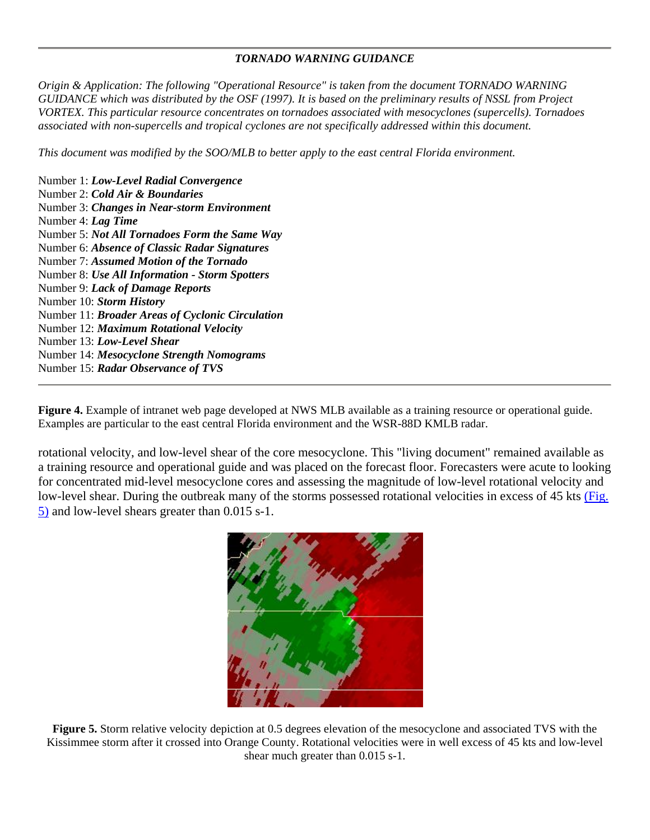#### *TORNADO WARNING GUIDANCE*

*Origin & Application: The following "Operational Resource" is taken from the document TORNADO WARNING GUIDANCE which was distributed by the OSF (1997). It is based on the preliminary results of NSSL from Project VORTEX. This particular resource concentrates on tornadoes associated with mesocyclones (supercells). Tornadoes associated with non-supercells and tropical cyclones are not specifically addressed within this document.*

*This document was modified by the SOO/MLB to better apply to the east central Florida environment.*

Number 1: *Low-Level Radial Convergence* Number 2: *Cold Air & Boundaries* Number 3: *Changes in Near-storm Environment* Number 4: *Lag Time* Number 5: *Not All Tornadoes Form the Same Way* Number 6: *Absence of Classic Radar Signatures* Number 7: *Assumed Motion of the Tornado* Number 8: *Use All Information - Storm Spotters* Number 9: *Lack of Damage Reports* Number 10: *Storm History* Number 11: *Broader Areas of Cyclonic Circulation* Number 12: *Maximum Rotational Velocity* Number 13: *Low-Level Shear* Number 14: *Mesocyclone Strength Nomograms* Number 15: *Radar Observance of TVS*

**Figure 4.** Example of intranet web page developed at NWS MLB available as a training resource or operational guide. Examples are particular to the east central Florida environment and the WSR-88D KMLB radar.

rotational velocity, and low-level shear of the core mesocyclone. This "living document" remained available as a training resource and operational guide and was placed on the forecast floor. Forecasters were acute to looking for concentrated mid-level mesocyclone cores and assessing the magnitude of low-level rotational velocity and low-level shear. During the outbreak many of the storms possessed rotational velocities in excess of 45 kts (Fig. 5) and low-level shears greater than 0.015 s-1.



**Figure 5.** Storm relative velocity depiction at 0.5 degrees elevation of the mesocyclone and associated TVS with the Kissimmee storm after it crossed into Orange County. Rotational velocities were in well excess of 45 kts and low-level shear much greater than 0.015 s-1.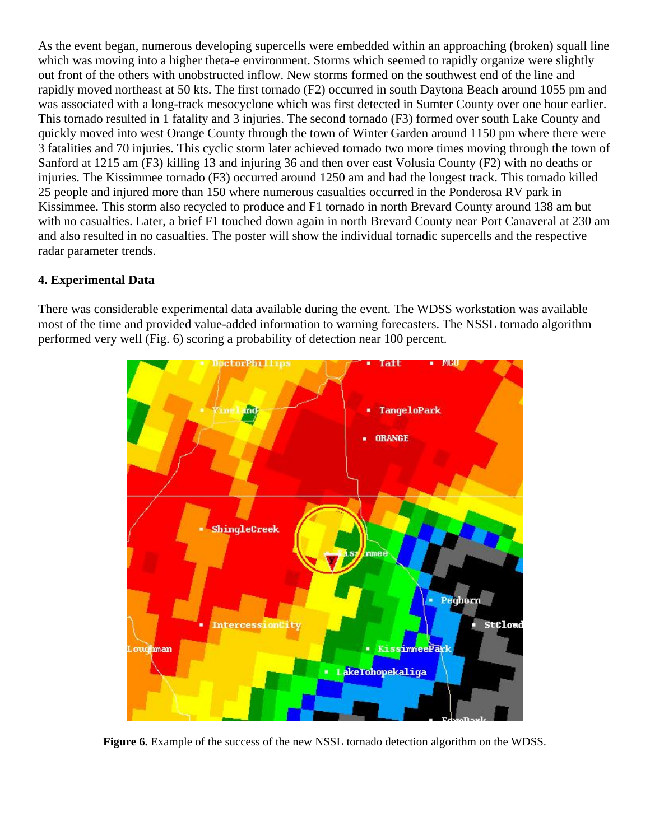As the event began, numerous developing supercells were embedded within an approaching (broken) squall line which was moving into a higher theta-e environment. Storms which seemed to rapidly organize were slightly out front of the others with unobstructed inflow. New storms formed on the southwest end of the line and rapidly moved northeast at 50 kts. The first tornado (F2) occurred in south Daytona Beach around 1055 pm and was associated with a long-track mesocyclone which was first detected in Sumter County over one hour earlier. This tornado resulted in 1 fatality and 3 injuries. The second tornado (F3) formed over south Lake County and quickly moved into west Orange County through the town of Winter Garden around 1150 pm where there were 3 fatalities and 70 injuries. This cyclic storm later achieved tornado two more times moving through the town of Sanford at 1215 am (F3) killing 13 and injuring 36 and then over east Volusia County (F2) with no deaths or injuries. The Kissimmee tornado (F3) occurred around 1250 am and had the longest track. This tornado killed 25 people and injured more than 150 where numerous casualties occurred in the Ponderosa RV park in Kissimmee. This storm also recycled to produce and F1 tornado in north Brevard County around 138 am but with no casualties. Later, a brief F1 touched down again in north Brevard County near Port Canaveral at 230 am and also resulted in no casualties. The poster will show the individual tornadic supercells and the respective radar parameter trends.

## **4. Experimental Data**

There was considerable experimental data available during the event. The WDSS workstation was available most of the time and provided value-added information to warning forecasters. The NSSL tornado algorithm performed very well (Fig. 6) scoring a probability of detection near 100 percent.



**Figure 6.** Example of the success of the new NSSL tornado detection algorithm on the WDSS.